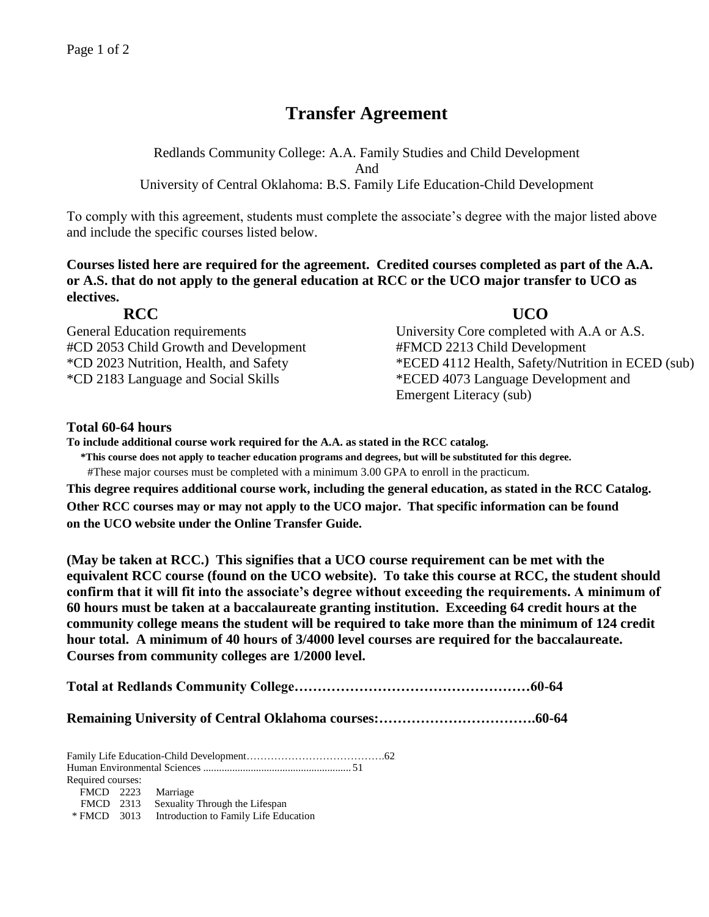# **Transfer Agreement**

Redlands Community College: A.A. Family Studies and Child Development And University of Central Oklahoma: B.S. Family Life Education-Child Development

To comply with this agreement, students must complete the associate's degree with the major listed above and include the specific courses listed below.

**Courses listed here are required for the agreement. Credited courses completed as part of the A.A. or A.S. that do not apply to the general education at RCC or the UCO major transfer to UCO as electives.**

| <b>RCC</b>                                        | <b>UCO</b>                                                       |
|---------------------------------------------------|------------------------------------------------------------------|
| <b>General Education requirements</b>             | University Core completed with A                                 |
| #CD 2053 Child Growth and Development             | #FMCD 2213 Child Development                                     |
| $*CD.2022$ Metal is Health and $C_{\text{other}}$ | $*FCFD$ 4110 $H_{\text{cell}}$ $R_{\text{eff}}$ N <sub>rtw</sub> |

General Education requirements University Core completed with A.A or A.S. \*CD 2023 Nutrition, Health, and Safety \*ECED 4112 Health, Safety/Nutrition in ECED (sub) \*CD 2183 Language and Social Skills \*ECED 4073 Language Development and Emergent Literacy (sub)

# **Total 60-64 hours**

**To include additional course work required for the A.A. as stated in the RCC catalog.**

**\*This course does not apply to teacher education programs and degrees, but will be substituted for this degree.**

#These major courses must be completed with a minimum 3.00 GPA to enroll in the practicum.

**This degree requires additional course work, including the general education, as stated in the RCC Catalog. Other RCC courses may or may not apply to the UCO major. That specific information can be found on the UCO website under the Online Transfer Guide.**

**(May be taken at RCC.) This signifies that a UCO course requirement can be met with the equivalent RCC course (found on the UCO website). To take this course at RCC, the student should confirm that it will fit into the associate's degree without exceeding the requirements. A minimum of 60 hours must be taken at a baccalaureate granting institution. Exceeding 64 credit hours at the community college means the student will be required to take more than the minimum of 124 credit hour total. A minimum of 40 hours of 3/4000 level courses are required for the baccalaureate. Courses from community colleges are 1/2000 level.**

**Total at Redlands Community College……………………………………………60-64**

**Remaining University of Central Oklahoma courses:…………………………….60-64**

Family Life Education-Child Development………………………………….62 Human Environmental Sciences ........................................................ 51 Required courses: FMCD 2223 Marriage FMCD 2313 Sexuality Through the Lifespan \* FMCD 3013 Introduction to Family Life Education